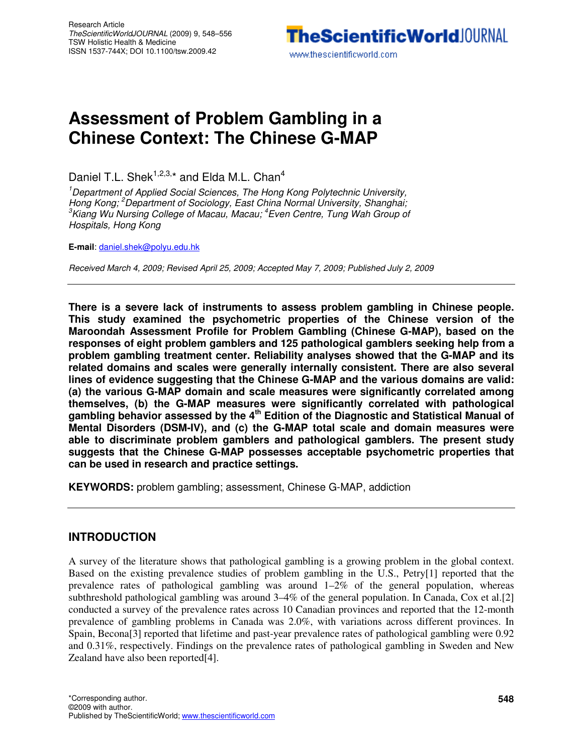# **Assessment of Problem Gambling in a Chinese Context: The Chinese G-MAP**

Daniel T.L. Shek<sup>1,2,3,\*</sup> and Elda M.L. Chan<sup>4</sup>

<sup>1</sup>Department of Applied Social Sciences, The Hong Kong Polytechnic University, Hong Kong; <sup>2</sup>Department of Sociology, East China Normal University, Shanghai; <sup>3</sup>Kiang Wu Nursing College of Macau, Macau; <sup>4</sup>Even Centre, Tung Wah Group of Hospitals, Hong Kong

**E-mail**: daniel.shek@polyu.edu.hk

Received March 4, 2009; Revised April 25, 2009; Accepted May 7, 2009; Published July 2, 2009

**There is a severe lack of instruments to assess problem gambling in Chinese people. This study examined the psychometric properties of the Chinese version of the Maroondah Assessment Profile for Problem Gambling (Chinese G-MAP), based on the responses of eight problem gamblers and 125 pathological gamblers seeking help from a problem gambling treatment center. Reliability analyses showed that the G-MAP and its related domains and scales were generally internally consistent. There are also several lines of evidence suggesting that the Chinese G-MAP and the various domains are valid: (a) the various G-MAP domain and scale measures were significantly correlated among themselves, (b) the G-MAP measures were significantly correlated with pathological gambling behavior assessed by the 4th Edition of the Diagnostic and Statistical Manual of Mental Disorders (DSM-IV), and (c) the G-MAP total scale and domain measures were able to discriminate problem gamblers and pathological gamblers. The present study suggests that the Chinese G-MAP possesses acceptable psychometric properties that can be used in research and practice settings.** 

**KEYWORDS:** problem gambling; assessment, Chinese G-MAP, addiction

## **INTRODUCTION**

A survey of the literature shows that pathological gambling is a growing problem in the global context. Based on the existing prevalence studies of problem gambling in the U.S., Petry[1] reported that the prevalence rates of pathological gambling was around  $1-2\%$  of the general population, whereas subthreshold pathological gambling was around 3–4% of the general population. In Canada, Cox et al.[2] conducted a survey of the prevalence rates across 10 Canadian provinces and reported that the 12-month prevalence of gambling problems in Canada was 2.0%, with variations across different provinces. In Spain, Becona[3] reported that lifetime and past-year prevalence rates of pathological gambling were 0.92 and 0.31%, respectively. Findings on the prevalence rates of pathological gambling in Sweden and New Zealand have also been reported[4].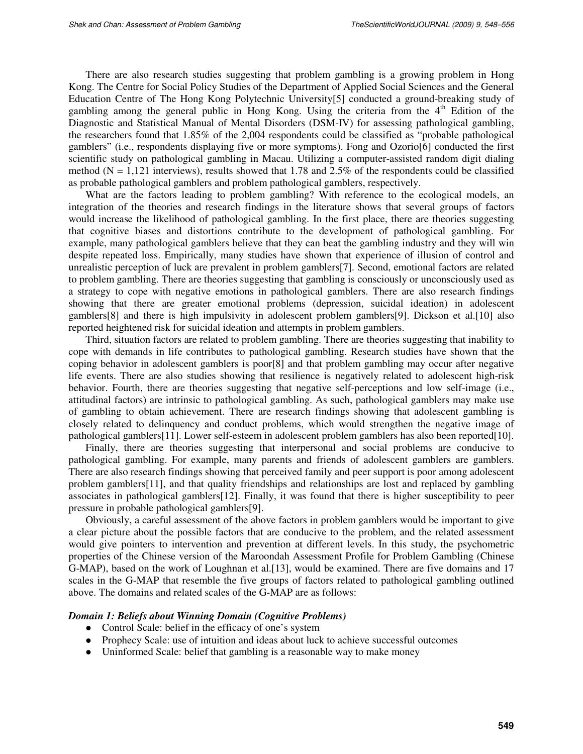There are also research studies suggesting that problem gambling is a growing problem in Hong Kong. The Centre for Social Policy Studies of the Department of Applied Social Sciences and the General Education Centre of The Hong Kong Polytechnic University[5] conducted a ground-breaking study of gambling among the general public in Hong Kong. Using the criteria from the 4<sup>th</sup> Edition of the Diagnostic and Statistical Manual of Mental Disorders (DSM-IV) for assessing pathological gambling, the researchers found that 1.85% of the 2,004 respondents could be classified as "probable pathological gamblers" (i.e., respondents displaying five or more symptoms). Fong and Ozorio[6] conducted the first scientific study on pathological gambling in Macau. Utilizing a computer-assisted random digit dialing method ( $N = 1,121$  interviews), results showed that 1.78 and 2.5% of the respondents could be classified as probable pathological gamblers and problem pathological gamblers, respectively.

What are the factors leading to problem gambling? With reference to the ecological models, an integration of the theories and research findings in the literature shows that several groups of factors would increase the likelihood of pathological gambling. In the first place, there are theories suggesting that cognitive biases and distortions contribute to the development of pathological gambling. For example, many pathological gamblers believe that they can beat the gambling industry and they will win despite repeated loss. Empirically, many studies have shown that experience of illusion of control and unrealistic perception of luck are prevalent in problem gamblers[7]. Second, emotional factors are related to problem gambling. There are theories suggesting that gambling is consciously or unconsciously used as a strategy to cope with negative emotions in pathological gamblers. There are also research findings showing that there are greater emotional problems (depression, suicidal ideation) in adolescent gamblers[8] and there is high impulsivity in adolescent problem gamblers[9]. Dickson et al.[10] also reported heightened risk for suicidal ideation and attempts in problem gamblers.

Third, situation factors are related to problem gambling. There are theories suggesting that inability to cope with demands in life contributes to pathological gambling. Research studies have shown that the coping behavior in adolescent gamblers is poor[8] and that problem gambling may occur after negative life events. There are also studies showing that resilience is negatively related to adolescent high-risk behavior. Fourth, there are theories suggesting that negative self-perceptions and low self-image (i.e., attitudinal factors) are intrinsic to pathological gambling. As such, pathological gamblers may make use of gambling to obtain achievement. There are research findings showing that adolescent gambling is closely related to delinquency and conduct problems, which would strengthen the negative image of pathological gamblers[11]. Lower self-esteem in adolescent problem gamblers has also been reported[10].

Finally, there are theories suggesting that interpersonal and social problems are conducive to pathological gambling. For example, many parents and friends of adolescent gamblers are gamblers. There are also research findings showing that perceived family and peer support is poor among adolescent problem gamblers[11], and that quality friendships and relationships are lost and replaced by gambling associates in pathological gamblers[12]. Finally, it was found that there is higher susceptibility to peer pressure in probable pathological gamblers[9].

Obviously, a careful assessment of the above factors in problem gamblers would be important to give a clear picture about the possible factors that are conducive to the problem, and the related assessment would give pointers to intervention and prevention at different levels. In this study, the psychometric properties of the Chinese version of the Maroondah Assessment Profile for Problem Gambling (Chinese G-MAP), based on the work of Loughnan et al.[13], would be examined. There are five domains and 17 scales in the G-MAP that resemble the five groups of factors related to pathological gambling outlined above. The domains and related scales of the G-MAP are as follows:

#### *Domain 1: Beliefs about Winning Domain (Cognitive Problems)*

- Control Scale: belief in the efficacy of one's system
- Prophecy Scale: use of intuition and ideas about luck to achieve successful outcomes
- Uninformed Scale: belief that gambling is a reasonable way to make money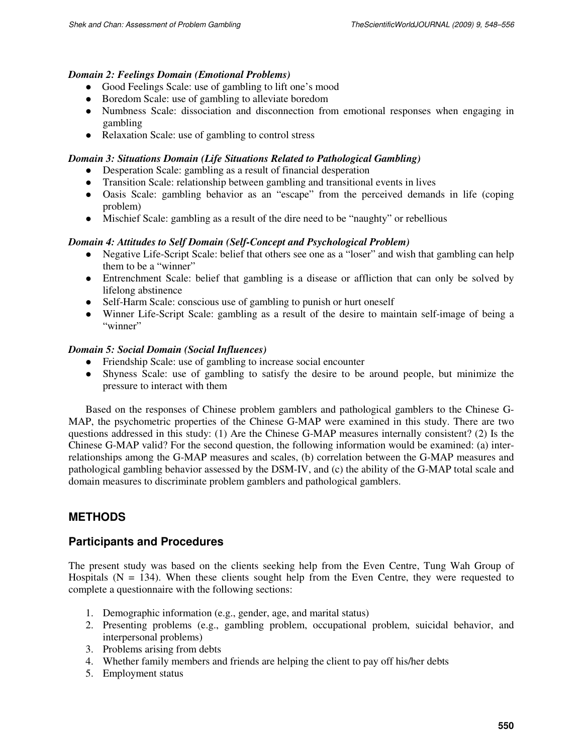### *Domain 2: Feelings Domain (Emotional Problems)*

- Good Feelings Scale: use of gambling to lift one's mood
- Boredom Scale: use of gambling to alleviate boredom
- Numbness Scale: dissociation and disconnection from emotional responses when engaging in gambling
- Relaxation Scale: use of gambling to control stress

## *Domain 3: Situations Domain (Life Situations Related to Pathological Gambling)*

- Desperation Scale: gambling as a result of financial desperation
- Transition Scale: relationship between gambling and transitional events in lives
- Oasis Scale: gambling behavior as an "escape" from the perceived demands in life (coping problem)
- Mischief Scale: gambling as a result of the dire need to be "naughty" or rebellious

### *Domain 4: Attitudes to Self Domain (Self-Concept and Psychological Problem)*

- Negative Life-Script Scale: belief that others see one as a "loser" and wish that gambling can help them to be a "winner"
- Entrenchment Scale: belief that gambling is a disease or affliction that can only be solved by lifelong abstinence
- Self-Harm Scale: conscious use of gambling to punish or hurt oneself
- Winner Life-Script Scale: gambling as a result of the desire to maintain self-image of being a "winner"

### *Domain 5: Social Domain (Social Influences)*

- Friendship Scale: use of gambling to increase social encounter
- Shyness Scale: use of gambling to satisfy the desire to be around people, but minimize the pressure to interact with them

Based on the responses of Chinese problem gamblers and pathological gamblers to the Chinese G-MAP, the psychometric properties of the Chinese G-MAP were examined in this study. There are two questions addressed in this study: (1) Are the Chinese G-MAP measures internally consistent? (2) Is the Chinese G-MAP valid? For the second question, the following information would be examined: (a) interrelationships among the G-MAP measures and scales, (b) correlation between the G-MAP measures and pathological gambling behavior assessed by the DSM-IV, and (c) the ability of the G-MAP total scale and domain measures to discriminate problem gamblers and pathological gamblers.

## **METHODS**

## **Participants and Procedures**

The present study was based on the clients seeking help from the Even Centre, Tung Wah Group of Hospitals  $(N = 134)$ . When these clients sought help from the Even Centre, they were requested to complete a questionnaire with the following sections:

- 1. Demographic information (e.g., gender, age, and marital status)
- 2. Presenting problems (e.g., gambling problem, occupational problem, suicidal behavior, and interpersonal problems)
- 3. Problems arising from debts
- 4. Whether family members and friends are helping the client to pay off his/her debts
- 5. Employment status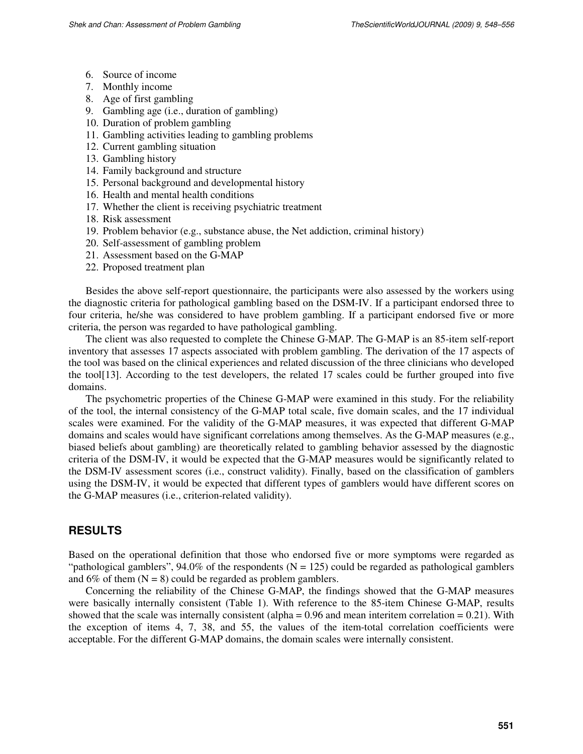- 6. Source of income
- 7. Monthly income
- 8. Age of first gambling
- 9. Gambling age (i.e., duration of gambling)
- 10. Duration of problem gambling
- 11. Gambling activities leading to gambling problems
- 12. Current gambling situation
- 13. Gambling history
- 14. Family background and structure
- 15. Personal background and developmental history
- 16. Health and mental health conditions
- 17. Whether the client is receiving psychiatric treatment
- 18. Risk assessment
- 19. Problem behavior (e.g., substance abuse, the Net addiction, criminal history)
- 20. Self-assessment of gambling problem
- 21. Assessment based on the G-MAP
- 22. Proposed treatment plan

Besides the above self-report questionnaire, the participants were also assessed by the workers using the diagnostic criteria for pathological gambling based on the DSM-IV. If a participant endorsed three to four criteria, he/she was considered to have problem gambling. If a participant endorsed five or more criteria, the person was regarded to have pathological gambling.

The client was also requested to complete the Chinese G-MAP. The G-MAP is an 85-item self-report inventory that assesses 17 aspects associated with problem gambling. The derivation of the 17 aspects of the tool was based on the clinical experiences and related discussion of the three clinicians who developed the tool[13]. According to the test developers, the related 17 scales could be further grouped into five domains.

The psychometric properties of the Chinese G-MAP were examined in this study. For the reliability of the tool, the internal consistency of the G-MAP total scale, five domain scales, and the 17 individual scales were examined. For the validity of the G-MAP measures, it was expected that different G-MAP domains and scales would have significant correlations among themselves. As the G-MAP measures (e.g., biased beliefs about gambling) are theoretically related to gambling behavior assessed by the diagnostic criteria of the DSM-IV, it would be expected that the G-MAP measures would be significantly related to the DSM-IV assessment scores (i.e., construct validity). Finally, based on the classification of gamblers using the DSM-IV, it would be expected that different types of gamblers would have different scores on the G-MAP measures (i.e., criterion-related validity).

## **RESULTS**

Based on the operational definition that those who endorsed five or more symptoms were regarded as "pathological gamblers",  $94.0\%$  of the respondents (N = 125) could be regarded as pathological gamblers and 6% of them  $(N = 8)$  could be regarded as problem gamblers.

Concerning the reliability of the Chinese G-MAP, the findings showed that the G-MAP measures were basically internally consistent (Table 1). With reference to the 85-item Chinese G-MAP, results showed that the scale was internally consistent (alpha =  $0.96$  and mean interitem correlation =  $0.21$ ). With the exception of items 4, 7, 38, and 55, the values of the item-total correlation coefficients were acceptable. For the different G-MAP domains, the domain scales were internally consistent.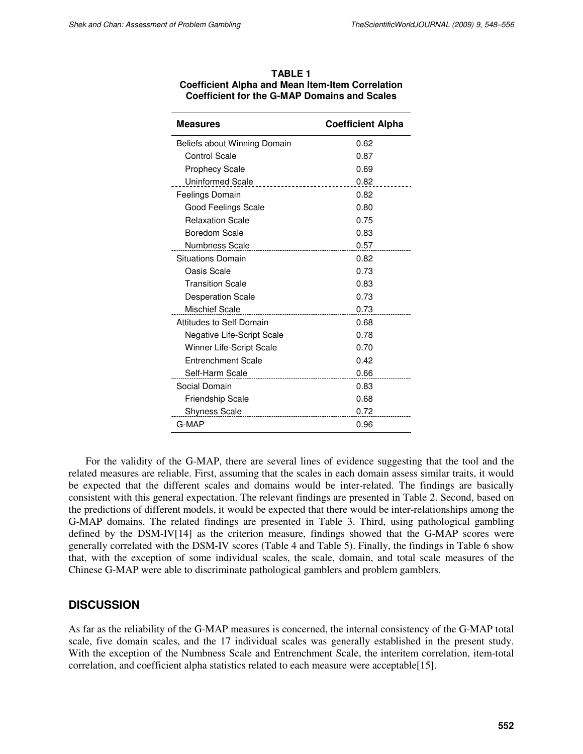| <b>TABLE 1</b>                                          |
|---------------------------------------------------------|
| <b>Coefficient Alpha and Mean Item-Item Correlation</b> |
| <b>Coefficient for the G-MAP Domains and Scales</b>     |

| <b>Measures</b>                       | <b>Coefficient Alpha</b> |
|---------------------------------------|--------------------------|
| Beliefs about Winning Domain          | 0.62                     |
| <b>Control Scale</b>                  | 0.87                     |
| <b>Prophecy Scale</b>                 | 0.69                     |
| Uninformed Scale<br>----------------- | 0.82                     |
| Feelings Domain                       | 0.82                     |
| Good Feelings Scale                   | 0.80                     |
| <b>Relaxation Scale</b>               | 0.75                     |
| Boredom Scale                         | 0.83                     |
| Numbness Scale                        | 0.57                     |
| Situations Domain                     | 0.82                     |
| Oasis Scale                           | 0.73                     |
| <b>Transition Scale</b>               | 0.83                     |
| <b>Desperation Scale</b>              | 0.73                     |
| <b>Mischief Scale</b>                 | 0.73                     |
| Attitudes to Self Domain              | 0.68                     |
| <b>Negative Life-Script Scale</b>     | 0.78                     |
| Winner Life-Script Scale              | 0.70                     |
| <b>Entrenchment Scale</b>             | 0.42                     |
|                                       | 0.66                     |
| Social Domain                         | 0.83                     |
| <b>Friendship Scale</b>               | 0.68                     |
| <b>Shyness Scale</b>                  | 0.72                     |
| G-MAP                                 | 0.96                     |

For the validity of the G-MAP, there are several lines of evidence suggesting that the tool and the related measures are reliable. First, assuming that the scales in each domain assess similar traits, it would be expected that the different scales and domains would be inter-related. The findings are basically consistent with this general expectation. The relevant findings are presented in Table 2. Second, based on the predictions of different models, it would be expected that there would be inter-relationships among the G-MAP domains. The related findings are presented in Table 3. Third, using pathological gambling defined by the DSM-IV[14] as the criterion measure, findings showed that the G-MAP scores were generally correlated with the DSM-IV scores (Table 4 and Table 5). Finally, the findings in Table 6 show that, with the exception of some individual scales, the scale, domain, and total scale measures of the Chinese G-MAP were able to discriminate pathological gamblers and problem gamblers.

## **DISCUSSION**

As far as the reliability of the G-MAP measures is concerned, the internal consistency of the G-MAP total scale, five domain scales, and the 17 individual scales was generally established in the present study. With the exception of the Numbness Scale and Entrenchment Scale, the interitem correlation, item-total correlation, and coefficient alpha statistics related to each measure were acceptable[15].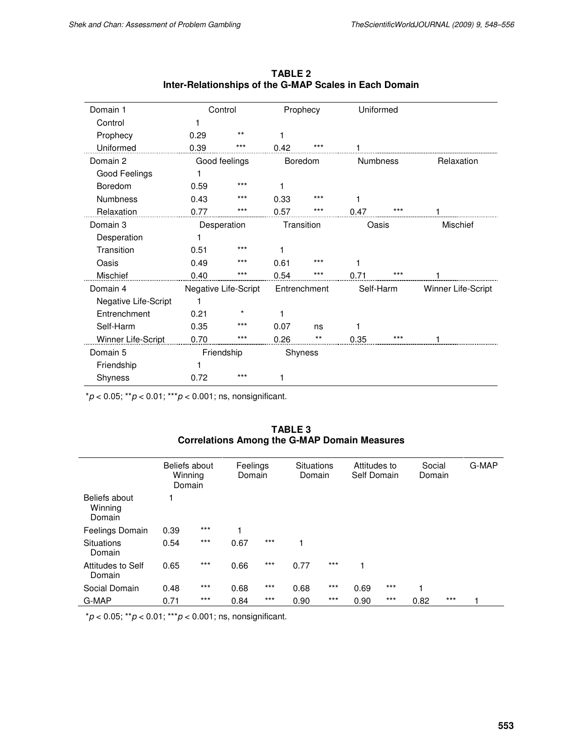| Domain 1             |      | Control              | Prophecy     |            | Uniformed       |       |                    |
|----------------------|------|----------------------|--------------|------------|-----------------|-------|--------------------|
| Control              |      |                      |              |            |                 |       |                    |
| Prophecy             | 0.29 | $***$                |              |            |                 |       |                    |
| Uniformed            | 0.39 | $***$                | 0.42         | $***$      |                 |       |                    |
| Domain 2             |      | Good feelings        | Boredom      |            | <b>Numbness</b> |       | Relaxation         |
| Good Feelings        |      |                      |              |            |                 |       |                    |
| Boredom              | 0.59 | $***$                |              |            |                 |       |                    |
| <b>Numbness</b>      | 0.43 | ***                  | 0.33         | $***$      | 1               |       |                    |
| Relaxation           | 0.77 | $***$                | 0.57         | $***$      | 0.47            | $***$ |                    |
| Domain 3             |      | Desperation          |              | Transition |                 | Oasis | <b>Mischief</b>    |
| Desperation          |      |                      |              |            |                 |       |                    |
| Transition           | 0.51 | $***$                |              |            |                 |       |                    |
| Oasis                | 0.49 | $***$                | 0.61         | ***        | 1               |       |                    |
| Mischief             | 0.40 | ***                  | 0.54         | ***        | 0.71            | $***$ |                    |
| Domain 4             |      | Negative Life-Script | Entrenchment |            | Self-Harm       |       | Winner Life-Script |
| Negative Life-Script |      |                      |              |            |                 |       |                    |
| Entrenchment         | 0.21 | *                    |              |            |                 |       |                    |
| Self-Harm            | 0.35 | $***$                | 0.07         | ns         | 1               |       |                    |
| Winner Life-Script   | 0.70 | $***$                | 0.26         | $***$      | 0.35            | $***$ |                    |
| Domain 5             |      | Friendship           |              | Shyness    |                 |       |                    |
| Friendship           |      |                      |              |            |                 |       |                    |
| Shyness              | 0.72 | $***$                |              |            |                 |       |                    |

**TABLE 2 Inter-Relationships of the G-MAP Scales in Each Domain** 

 $*p < 0.05;$   $**p < 0.01;$   $***p < 0.001;$  ns, nonsignificant.

| TABLE 3                                             |
|-----------------------------------------------------|
| <b>Correlations Among the G-MAP Domain Measures</b> |

|                                    | Beliefs about<br>Winning<br>Domain |       | Feelings<br>Domain |       | Situations<br>Domain |       | Attitudes to<br>Self Domain |       | Social<br>Domain |       | G-MAP |
|------------------------------------|------------------------------------|-------|--------------------|-------|----------------------|-------|-----------------------------|-------|------------------|-------|-------|
| Beliefs about<br>Winning<br>Domain |                                    |       |                    |       |                      |       |                             |       |                  |       |       |
| Feelings Domain                    | 0.39                               | $***$ |                    |       |                      |       |                             |       |                  |       |       |
| <b>Situations</b><br>Domain        | 0.54                               | $***$ | 0.67               | $***$ | 1                    |       |                             |       |                  |       |       |
| Attitudes to Self<br>Domain        | 0.65                               | $***$ | 0.66               | $***$ | 0.77                 | $***$ |                             |       |                  |       |       |
| Social Domain                      | 0.48                               | $***$ | 0.68               | $***$ | 0.68                 | $***$ | 0.69                        | $***$ | 1                |       |       |
| G-MAP                              | 0.71                               | $***$ | 0.84               | $***$ | 0.90                 | $***$ | 0.90                        | $***$ | 0.82             | $***$ |       |

 $*p < 0.05; **p < 0.01;***p < 0.001;$  ns, nonsignificant.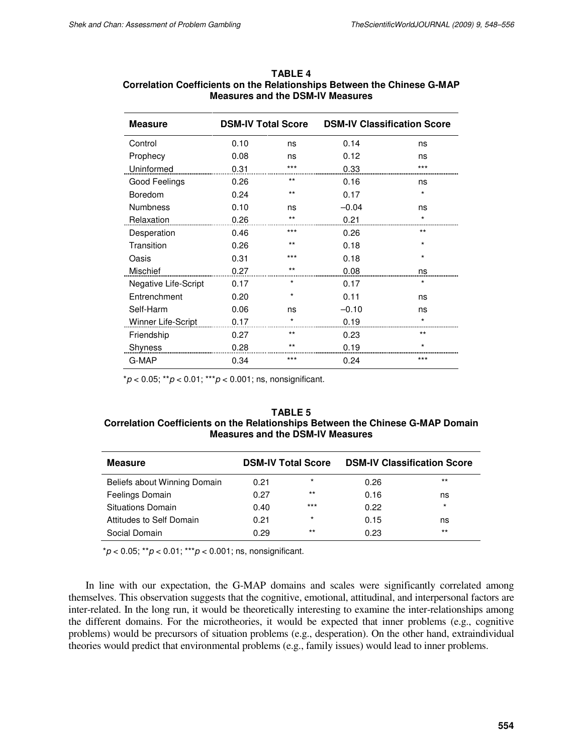| <b>Measure</b>       | <b>DSM-IV Total Score</b> |          | <b>DSM-IV Classification Score</b> |         |  |  |
|----------------------|---------------------------|----------|------------------------------------|---------|--|--|
| Control              | 0.10                      | ns       | 0.14                               | ns      |  |  |
| Prophecy             | 0.08                      | ns       | 0.12                               | ns      |  |  |
| Uninformed           | 0.31                      | ***      | 0.33                               | ***     |  |  |
| Good Feelings        | 0.26                      | $***$    | 0.16                               | ns      |  |  |
| Boredom              | 0.24                      | $***$    | 0.17                               | *       |  |  |
| <b>Numbness</b>      | 0.10                      | ns       | $-0.04$                            | ns      |  |  |
| Relaxation           | 0.26                      | $***$    | 0.21                               | *       |  |  |
| Desperation          | 0.46                      | $***$    | 0.26                               | $***$   |  |  |
| Transition           | 0.26                      | $***$    | 0.18                               | *       |  |  |
| Oasis                | 0.31                      | $***$    | 0.18                               | *       |  |  |
| Mischief             | 0.27                      | $***$    | 0.08                               | ns      |  |  |
| Negative Life-Script | 0.17                      | $^\star$ | 0.17                               | $\star$ |  |  |
| Entrenchment         | 0.20                      | $^\star$ | 0.11                               | ns      |  |  |
| Self-Harm            | 0.06                      | ns       | $-0.10$                            | ns      |  |  |
| Winner Life-Script   | 0.17                      |          | 0.19                               |         |  |  |
| Friendship           | 0.27                      | $***$    | 0.23                               | $***$   |  |  |
| Shyness              | 0.28                      | $***$    | 0.19                               | *       |  |  |
| G-MAP                | 0.34                      | $***$    | 0.24                               | ***     |  |  |

### **TABLE 4 Correlation Coefficients on the Relationships Between the Chinese G-MAP Measures and the DSM-IV Measures**

 $p < 0.05$ ; \*\* $p < 0.01$ ; \*\*\* $p < 0.001$ ; ns, nonsignificant.

#### **TABLE 5 Correlation Coefficients on the Relationships Between the Chinese G-MAP Domain Measures and the DSM-IV Measures**

| <b>Measure</b>               | <b>DSM-IV Total Score</b> |          | <b>DSM-IV Classification Score</b> |         |  |  |
|------------------------------|---------------------------|----------|------------------------------------|---------|--|--|
| Beliefs about Winning Domain | 0.21                      | $\star$  | 0.26                               | $***$   |  |  |
| Feelings Domain              | 0.27                      | $***$    | 0.16                               | ns      |  |  |
| Situations Domain            | 0.40                      | $***$    | 0.22                               | $\star$ |  |  |
| Attitudes to Self Domain     | 0.21                      | $^\star$ | 0.15                               | ns      |  |  |
| Social Domain                | 0.29                      | $***$    | 0.23                               | $***$   |  |  |

 $p < 0.05$ ; \*\* $p < 0.01$ ; \*\*\* $p < 0.001$ ; ns, nonsignificant.

In line with our expectation, the G-MAP domains and scales were significantly correlated among themselves. This observation suggests that the cognitive, emotional, attitudinal, and interpersonal factors are inter-related. In the long run, it would be theoretically interesting to examine the inter-relationships among the different domains. For the microtheories, it would be expected that inner problems (e.g., cognitive problems) would be precursors of situation problems (e.g., desperation). On the other hand, extraindividual theories would predict that environmental problems (e.g., family issues) would lead to inner problems.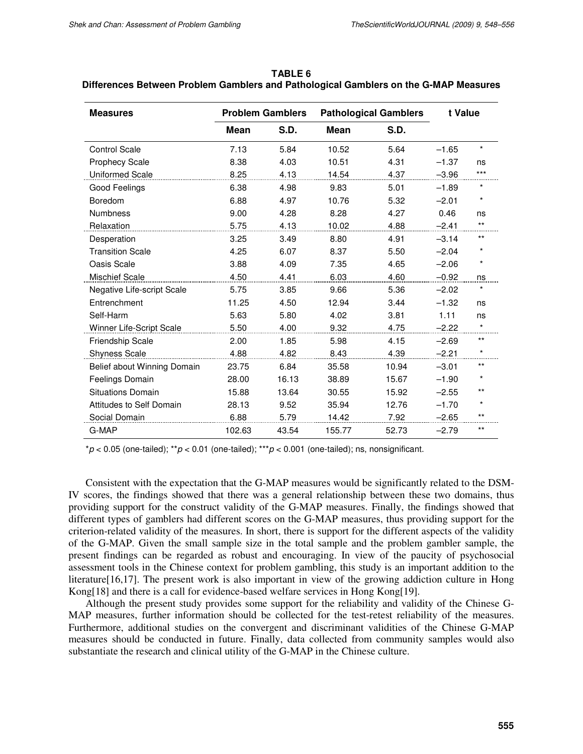| <b>Measures</b>                 | <b>Problem Gamblers</b> |             | <b>Pathological Gamblers</b> | t Value     |         |          |
|---------------------------------|-------------------------|-------------|------------------------------|-------------|---------|----------|
|                                 | Mean                    | <b>S.D.</b> | Mean                         | <b>S.D.</b> |         |          |
| <b>Control Scale</b>            | 7.13                    | 5.84        | 10.52                        | 5.64        | $-1.65$ | $\star$  |
| <b>Prophecy Scale</b>           | 8.38                    | 4.03        | 10.51                        | 4.31        | $-1.37$ | ns       |
| <b>Uniformed Scale</b>          | 8.25                    | 4.13        | 14.54                        | 4.37        | $-3.96$ | $***$    |
| Good Feelings                   | 6.38                    | 4.98        | 9.83                         | 5.01        | $-1.89$ | $^\star$ |
| Boredom                         | 6.88                    | 4.97        | 10.76                        | 5.32        | $-2.01$ | $\star$  |
| <b>Numbness</b>                 | 9.00                    | 4.28        | 8.28                         | 4.27        | 0.46    | ns       |
| Relaxation                      | 5.75                    | 4.13        | 10.02                        | 4.88        | $-2.41$ | $***$    |
| Desperation                     | 3.25                    | 3.49        | 8.80                         | 4.91        | $-3.14$ | $***$    |
| <b>Transition Scale</b>         | 4.25                    | 6.07        | 8.37                         | 5.50        | $-2.04$ | $\star$  |
| Oasis Scale                     | 3.88                    | 4.09        | 7.35                         | 4.65        | $-2.06$ | $\star$  |
| <b>Mischief Scale</b>           | 4.50                    | 4.41        | 6.03                         | 4.60        | $-0.92$ | ns       |
| Negative Life-script Scale      | 5.75                    | 3.85        | 9.66                         | 5.36        | $-2.02$ | $\star$  |
| Entrenchment                    | 11.25                   | 4.50        | 12.94                        | 3.44        | $-1.32$ | ns       |
| Self-Harm                       | 5.63                    | 5.80        | 4.02                         | 3.81        | 1.11    | ns       |
| <b>Winner Life-Script Scale</b> | 5.50                    | 4.00        | 9.32                         | 4.75        | $-2.22$ | $\star$  |
| Friendship Scale                | 2.00                    | 1.85        | 5.98                         | 4.15        | $-2.69$ | $***$    |
| <b>Shyness Scale</b>            | 4.88                    | 4.82        | 8.43                         | 4.39        | $-2.21$ | $\star$  |
| Belief about Winning Domain     | 23.75                   | 6.84        | 35.58                        | 10.94       | $-3.01$ | $***$    |
| <b>Feelings Domain</b>          | 28.00                   | 16.13       | 38.89                        | 15.67       | $-1.90$ | $^\star$ |
| <b>Situations Domain</b>        | 15.88                   | 13.64       | 30.55                        | 15.92       | $-2.55$ | $***$    |
| Attitudes to Self Domain        | 28.13                   | 9.52        | 35.94                        | 12.76       | $-1.70$ | $\star$  |
| Social Domain                   | 6.88                    | 5.79        | 14.42                        | 7.92        | $-2.65$ | $***$    |
| G-MAP                           | 102.63                  | 43.54       | 155.77                       | 52.73       | $-2.79$ | $***$    |

**TABLE 6 Differences Between Problem Gamblers and Pathological Gamblers on the G-MAP Measures** 

 $p < 0.05$  (one-tailed);  $p < 0.01$  (one-tailed);  $p < 0.001$  (one-tailed); ns, nonsignificant.

Consistent with the expectation that the G-MAP measures would be significantly related to the DSM-IV scores, the findings showed that there was a general relationship between these two domains, thus providing support for the construct validity of the G-MAP measures. Finally, the findings showed that different types of gamblers had different scores on the G-MAP measures, thus providing support for the criterion-related validity of the measures. In short, there is support for the different aspects of the validity of the G-MAP. Given the small sample size in the total sample and the problem gambler sample, the present findings can be regarded as robust and encouraging. In view of the paucity of psychosocial assessment tools in the Chinese context for problem gambling, this study is an important addition to the literature[16,17]. The present work is also important in view of the growing addiction culture in Hong Kong[18] and there is a call for evidence-based welfare services in Hong Kong[19].

Although the present study provides some support for the reliability and validity of the Chinese G-MAP measures, further information should be collected for the test-retest reliability of the measures. Furthermore, additional studies on the convergent and discriminant validities of the Chinese G-MAP measures should be conducted in future. Finally, data collected from community samples would also substantiate the research and clinical utility of the G-MAP in the Chinese culture.